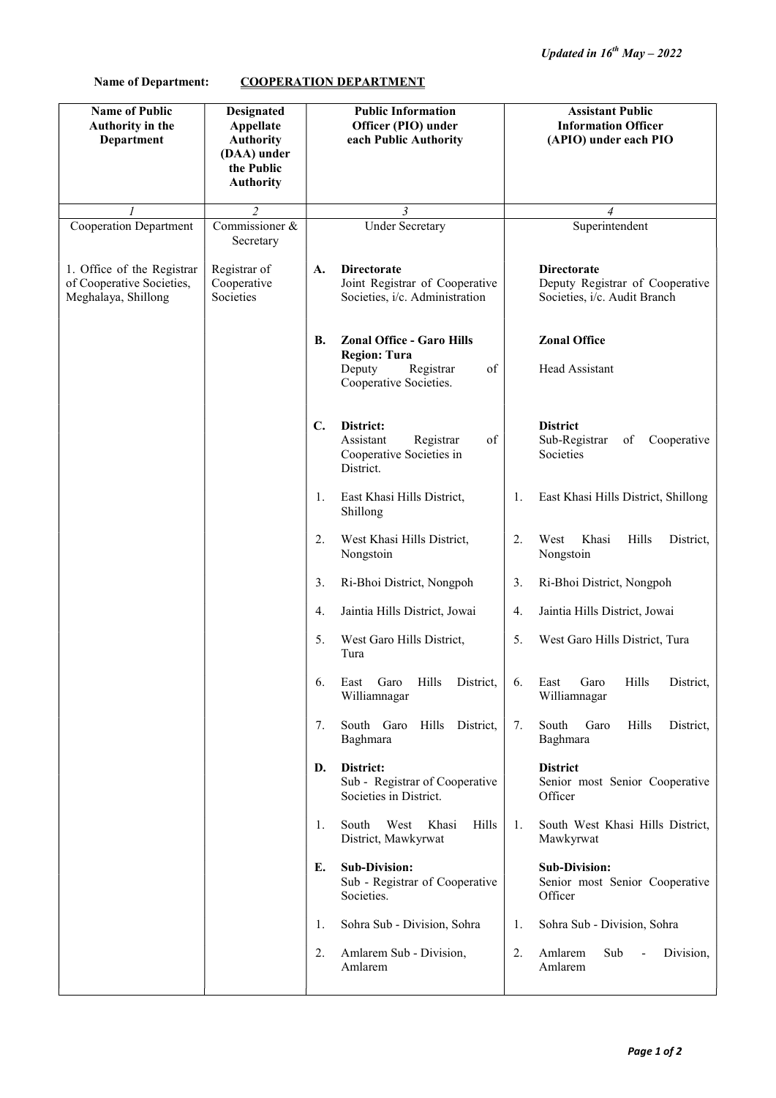## Name of Department: COOPERATION DEPARTMENT

| <b>Name of Public</b><br>Authority in the<br>Department                        | <b>Designated</b><br>Appellate<br><b>Authority</b><br>(DAA) under |                | <b>Public Information</b><br>Officer (PIO) under<br>each Public Authority                                      |    | <b>Assistant Public</b><br><b>Information Officer</b><br>(APIO) under each PIO        |  |
|--------------------------------------------------------------------------------|-------------------------------------------------------------------|----------------|----------------------------------------------------------------------------------------------------------------|----|---------------------------------------------------------------------------------------|--|
|                                                                                | the Public<br><b>Authority</b>                                    |                |                                                                                                                |    |                                                                                       |  |
|                                                                                | $\overline{2}$                                                    |                | $\mathfrak{Z}$                                                                                                 |    | $\overline{4}$                                                                        |  |
| <b>Cooperation Department</b>                                                  | Commissioner &<br>Secretary                                       |                | <b>Under Secretary</b>                                                                                         |    | Superintendent                                                                        |  |
| 1. Office of the Registrar<br>of Cooperative Societies,<br>Meghalaya, Shillong | Registrar of<br>Cooperative<br>Societies                          | A.             | <b>Directorate</b><br>Joint Registrar of Cooperative<br>Societies, i/c. Administration                         |    | <b>Directorate</b><br>Deputy Registrar of Cooperative<br>Societies, i/c. Audit Branch |  |
|                                                                                |                                                                   | В.             | <b>Zonal Office - Garo Hills</b><br><b>Region: Tura</b><br>Deputy<br>Registrar<br>of<br>Cooperative Societies. |    | <b>Zonal Office</b><br>Head Assistant                                                 |  |
|                                                                                |                                                                   | $\mathbf{C}$ . | District:<br>Assistant<br>Registrar<br>of<br>Cooperative Societies in<br>District.                             |    | <b>District</b><br>Sub-Registrar<br>of<br>Cooperative<br>Societies                    |  |
|                                                                                |                                                                   | 1.             | East Khasi Hills District,<br>Shillong                                                                         | 1. | East Khasi Hills District, Shillong                                                   |  |
|                                                                                |                                                                   | 2.             | West Khasi Hills District,<br>Nongstoin                                                                        | 2. | Khasi<br>West<br>Hills<br>District,<br>Nongstoin                                      |  |
|                                                                                |                                                                   | 3.             | Ri-Bhoi District, Nongpoh                                                                                      | 3. | Ri-Bhoi District, Nongpoh                                                             |  |
|                                                                                |                                                                   | 4.             | Jaintia Hills District, Jowai                                                                                  | 4. | Jaintia Hills District, Jowai                                                         |  |
|                                                                                |                                                                   | 5.             | West Garo Hills District,<br>Tura                                                                              | 5. | West Garo Hills District, Tura                                                        |  |
|                                                                                |                                                                   | 6.             | Hills<br>District,<br>East<br>Garo<br>Williamnagar                                                             | 6. | Hills<br>District,<br>East<br>Garo<br>Williamnagar                                    |  |
|                                                                                |                                                                   | 7.             | South Garo<br>Hills<br>District,<br>Baghmara                                                                   | 7. | South<br>Garo<br>Hills<br>District,<br>Baghmara                                       |  |
|                                                                                |                                                                   | D.             | District:<br>Sub - Registrar of Cooperative<br>Societies in District.                                          |    | <b>District</b><br>Senior most Senior Cooperative<br>Officer                          |  |
|                                                                                |                                                                   | 1.             | Hills<br>South<br>West<br>Khasi<br>District, Mawkyrwat                                                         | 1. | South West Khasi Hills District,<br>Mawkyrwat                                         |  |
|                                                                                |                                                                   | E.             | <b>Sub-Division:</b><br>Sub - Registrar of Cooperative<br>Societies.                                           |    | <b>Sub-Division:</b><br>Senior most Senior Cooperative<br>Officer                     |  |
|                                                                                |                                                                   | 1.             | Sohra Sub - Division, Sohra                                                                                    | 1. | Sohra Sub - Division, Sohra                                                           |  |
|                                                                                |                                                                   | 2.             | Amlarem Sub - Division,<br>Amlarem                                                                             | 2. | Amlarem<br>Sub<br>Division,<br>$\overline{\phantom{a}}$<br>Amlarem                    |  |